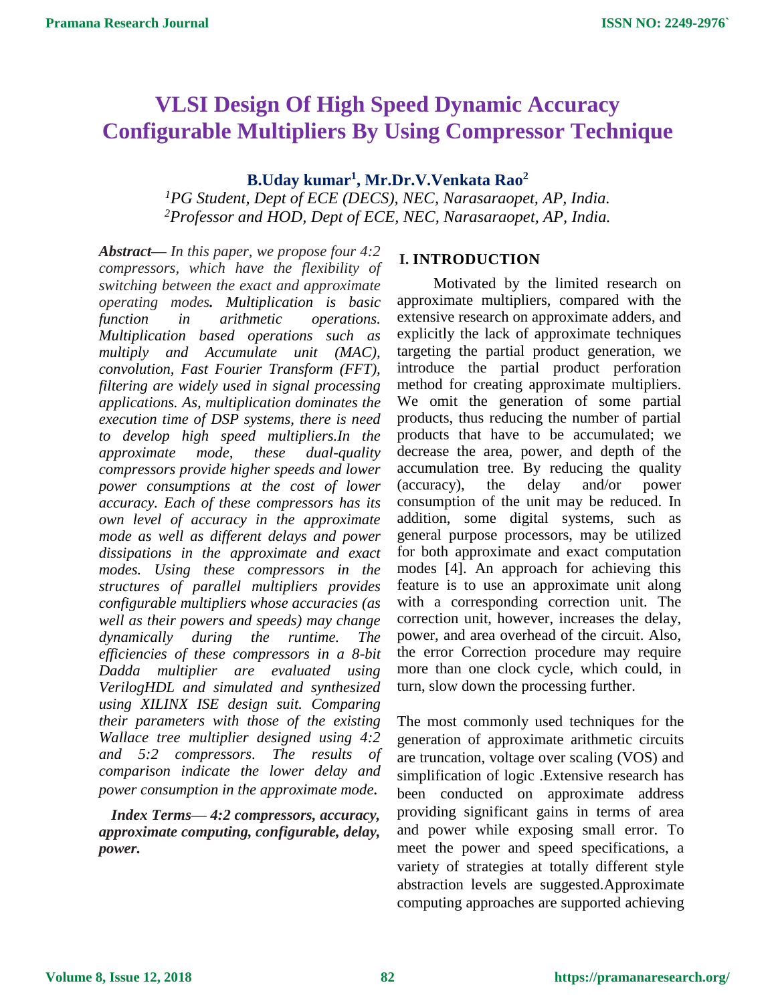# **VLSI Design Of High Speed Dynamic Accuracy Configurable Multipliers By Using Compressor Technique**

# **B.Uday kumar<sup>1</sup> , Mr.Dr.V.Venkata Rao<sup>2</sup>**

*<sup>1</sup>PG Student, Dept of ECE (DECS), NEC, Narasaraopet, AP, India. <sup>2</sup>Professor and HOD, Dept of ECE, NEC, Narasaraopet, AP, India.*

*Abstract— In this paper, we propose four 4:2 compressors, which have the flexibility of switching between the exact and approximate operating modes. Multiplication is basic function in arithmetic operations. Multiplication based operations such as multiply and Accumulate unit (MAC), convolution, Fast Fourier Transform (FFT), filtering are widely used in signal processing applications. As, multiplication dominates the execution time of DSP systems, there is need to develop high speed multipliers.In the approximate mode, these dual-quality compressors provide higher speeds and lower power consumptions at the cost of lower accuracy. Each of these compressors has its own level of accuracy in the approximate mode as well as different delays and power dissipations in the approximate and exact modes. Using these compressors in the structures of parallel multipliers provides configurable multipliers whose accuracies (as well as their powers and speeds) may change dynamically during the runtime. The efficiencies of these compressors in a 8-bit Dadda multiplier are evaluated using VerilogHDL and simulated and synthesized using XILINX ISE design suit. Comparing their parameters with those of the existing Wallace tree multiplier designed using 4:2 and 5:2 compressors. The results of comparison indicate the lower delay and power consumption in the approximate mode.*

*Index Terms— 4:2 compressors, accuracy, approximate computing, configurable, delay, power.*

## **I. INTRODUCTION**

Motivated by the limited research on approximate multipliers, compared with the extensive research on approximate adders, and explicitly the lack of approximate techniques targeting the partial product generation, we introduce the partial product perforation method for creating approximate multipliers. We omit the generation of some partial products, thus reducing the number of partial products that have to be accumulated; we decrease the area, power, and depth of the accumulation tree. By reducing the quality (accuracy), the delay and/or power consumption of the unit may be reduced. In addition, some digital systems, such as general purpose processors, may be utilized for both approximate and exact computation modes [4]. An approach for achieving this feature is to use an approximate unit along with a corresponding correction unit. The correction unit, however, increases the delay, power, and area overhead of the circuit. Also, the error Correction procedure may require more than one clock cycle, which could, in turn, slow down the processing further.

The most commonly used techniques for the generation of approximate arithmetic circuits are truncation, voltage over scaling (VOS) and simplification of logic .Extensive research has been conducted on approximate address providing significant gains in terms of area and power while exposing small error. To meet the power and speed specifications, a variety of strategies at totally different style abstraction levels are suggested.Approximate computing approaches are supported achieving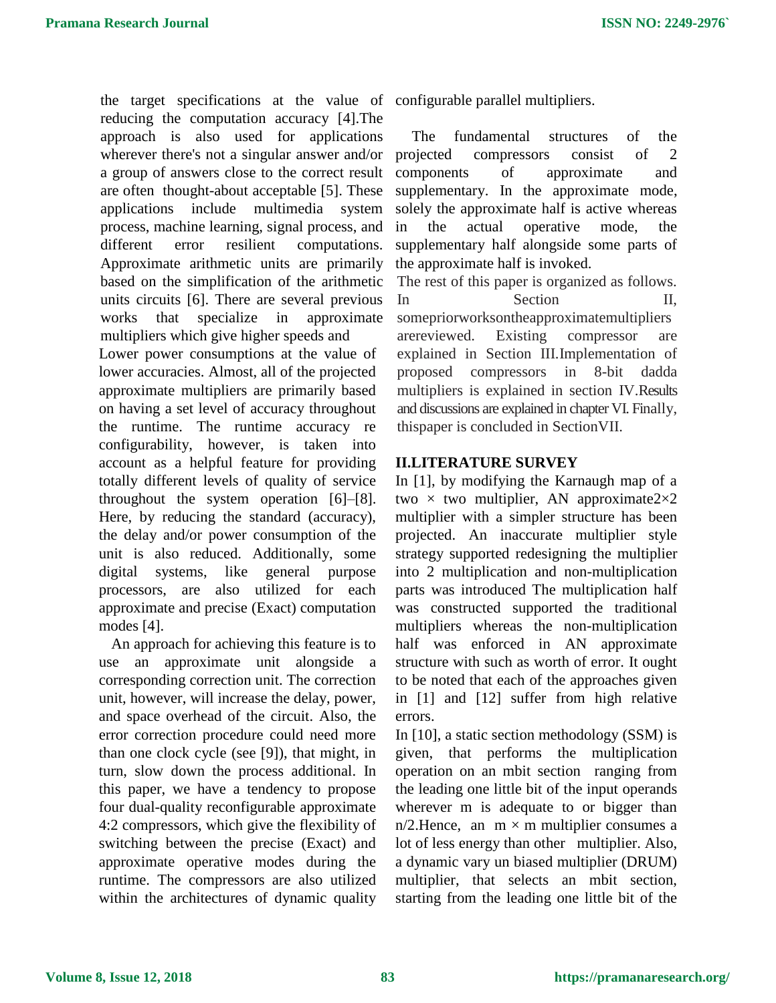the target specifications at the value of configurable parallel multipliers. reducing the computation accuracy [4].The approach is also used for applications wherever there's not a singular answer and/or a group of answers close to the correct result are often thought-about acceptable [5]. These applications include multimedia system process, machine learning, signal process, and different error resilient computations. Approximate arithmetic units are primarily based on the simplification of the arithmetic units circuits [6]. There are several previous works that specialize in approximate multipliers which give higher speeds and

Lower power consumptions at the value of lower accuracies. Almost, all of the projected approximate multipliers are primarily based on having a set level of accuracy throughout the runtime. The runtime accuracy re configurability, however, is taken into account as a helpful feature for providing totally different levels of quality of service throughout the system operation [6]–[8]. Here, by reducing the standard (accuracy), the delay and/or power consumption of the unit is also reduced. Additionally, some digital systems, like general purpose processors, are also utilized for each approximate and precise (Exact) computation modes [4].

An approach for achieving this feature is to use an approximate unit alongside a corresponding correction unit. The correction unit, however, will increase the delay, power, and space overhead of the circuit. Also, the error correction procedure could need more than one clock cycle (see [9]), that might, in turn, slow down the process additional. In this paper, we have a tendency to propose four dual-quality reconfigurable approximate 4:2 compressors, which give the flexibility of switching between the precise (Exact) and approximate operative modes during the runtime. The compressors are also utilized within the architectures of dynamic quality

The fundamental structures of the projected compressors consist of 2 components of approximate and supplementary. In the approximate mode, solely the approximate half is active whereas in the actual operative mode, the supplementary half alongside some parts of the approximate half is invoked.

The rest of this paper is organized as follows. In Section II, somepriorworksontheapproximatemultipliers arereviewed. Existing compressor are explained in Section III.Implementation of proposed compressors in 8-bit dadda multipliers is explained in section IV.Results and discussions are explained in chapter VI. Finally, thispaper is concluded in SectionVII.

# **II.LITERATURE SURVEY**

In [1], by modifying the Karnaugh map of a two  $\times$  two multiplier, AN approximate2 $\times$ 2 multiplier with a simpler structure has been projected. An inaccurate multiplier style strategy supported redesigning the multiplier into 2 multiplication and non-multiplication parts was introduced The multiplication half was constructed supported the traditional multipliers whereas the non-multiplication half was enforced in AN approximate structure with such as worth of error. It ought to be noted that each of the approaches given in [1] and [12] suffer from high relative errors.

In [10], a static section methodology (SSM) is given, that performs the multiplication operation on an mbit section ranging from the leading one little bit of the input operands wherever m is adequate to or bigger than  $n/2$ . Hence, an  $m \times m$  multiplier consumes a lot of less energy than other multiplier. Also, a dynamic vary un biased multiplier (DRUM) multiplier, that selects an mbit section, starting from the leading one little bit of the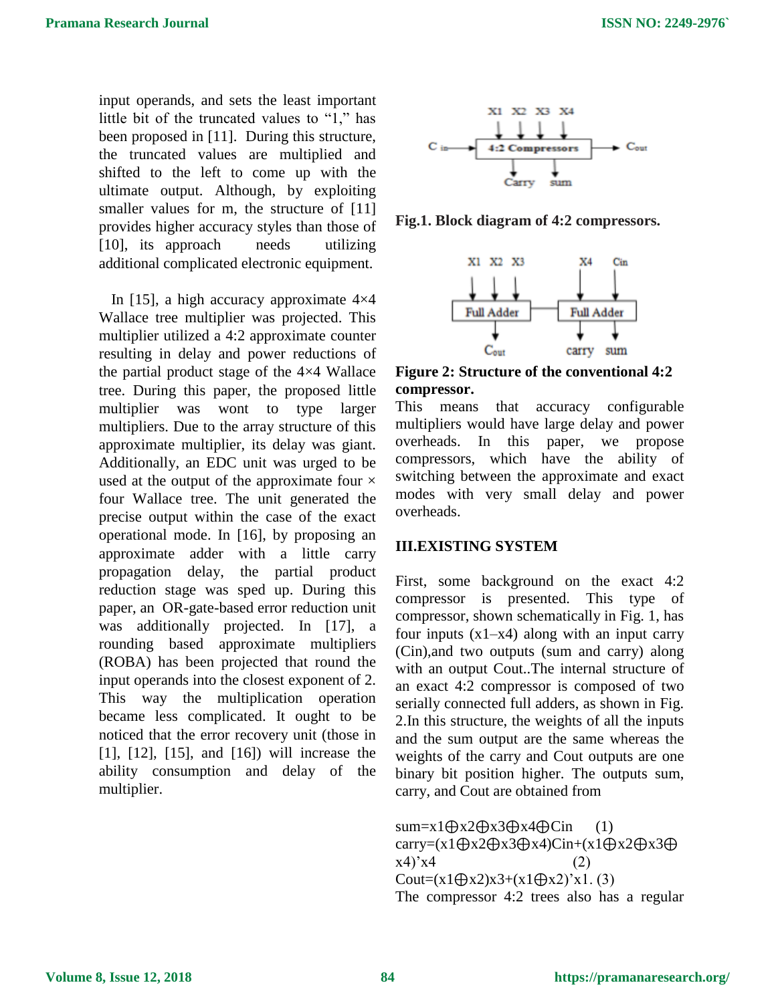input operands, and sets the least important little bit of the truncated values to "1," has been proposed in [11]. During this structure, the truncated values are multiplied and shifted to the left to come up with the ultimate output. Although, by exploiting smaller values for m, the structure of [11] provides higher accuracy styles than those of [10], its approach needs utilizing additional complicated electronic equipment.

In [15], a high accuracy approximate  $4\times4$ Wallace tree multiplier was projected. This multiplier utilized a 4:2 approximate counter resulting in delay and power reductions of the partial product stage of the 4×4 Wallace tree. During this paper, the proposed little multiplier was wont to type larger multipliers. Due to the array structure of this approximate multiplier, its delay was giant. Additionally, an EDC unit was urged to be used at the output of the approximate four  $\times$ four Wallace tree. The unit generated the precise output within the case of the exact operational mode. In [16], by proposing an approximate adder with a little carry propagation delay, the partial product reduction stage was sped up. During this paper, an OR-gate-based error reduction unit was additionally projected. In [17], a rounding based approximate multipliers (ROBA) has been projected that round the input operands into the closest exponent of 2. This way the multiplication operation became less complicated. It ought to be noticed that the error recovery unit (those in [1], [12], [15], and [16]) will increase the ability consumption and delay of the multiplier.



**Fig.1. Block diagram of 4:2 compressors.**



**Figure 2: Structure of the conventional 4:2 compressor.**

This means that accuracy configurable multipliers would have large delay and power overheads. In this paper, we propose compressors, which have the ability of switching between the approximate and exact modes with very small delay and power overheads.

## **III.EXISTING SYSTEM**

First, some background on the exact 4:2 compressor is presented. This type of compressor, shown schematically in Fig. 1, has four inputs  $(x1-x4)$  along with an input carry (Cin),and two outputs (sum and carry) along with an output Cout..The internal structure of an exact 4:2 compressor is composed of two serially connected full adders, as shown in Fig. 2.In this structure, the weights of all the inputs and the sum output are the same whereas the weights of the carry and Cout outputs are one binary bit position higher. The outputs sum, carry, and Cout are obtained from

sum=x1⊕x2⊕x3⊕x4⊕Cin (1) carry=(x1⊕x2⊕x3⊕x4)Cin+(x1⊕x2⊕x3⊕  $(x4)'x4$  (2) Cout= $(x1 \oplus x2)x3+(x1 \oplus x2)'x1$ . (3) The compressor 4:2 trees also has a regular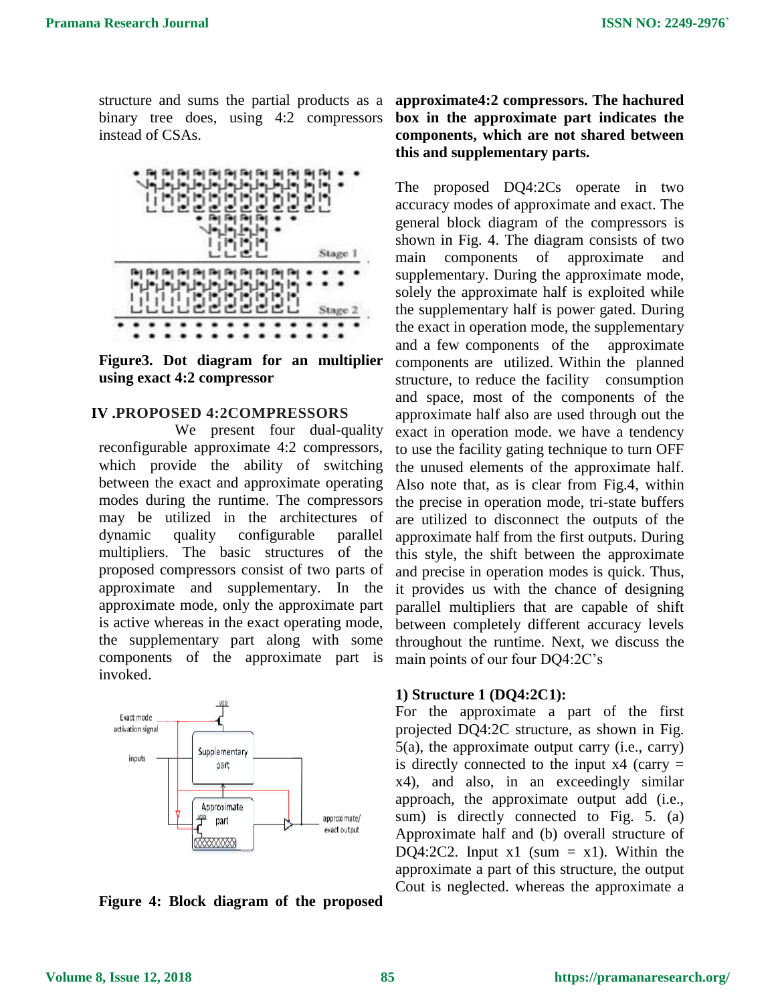structure and sums the partial products as a binary tree does, using 4:2 compressors instead of CSAs.



**Figure3. Dot diagram for an multiplier using exact 4:2 compressor**

## **IV .PROPOSED 4:2COMPRESSORS**

We present four dual-quality reconfigurable approximate 4:2 compressors, which provide the ability of switching between the exact and approximate operating modes during the runtime. The compressors may be utilized in the architectures of dynamic quality configurable parallel multipliers. The basic structures of the proposed compressors consist of two parts of approximate and supplementary. In the approximate mode, only the approximate part is active whereas in the exact operating mode, the supplementary part along with some components of the approximate part is invoked.



**Figure 4: Block diagram of the proposed** 

# **approximate4:2 compressors. The hachured box in the approximate part indicates the components, which are not shared between this and supplementary parts.**

The proposed DQ4:2Cs operate in two accuracy modes of approximate and exact. The general block diagram of the compressors is shown in Fig. 4. The diagram consists of two main components of approximate and supplementary. During the approximate mode, solely the approximate half is exploited while the supplementary half is power gated. During the exact in operation mode, the supplementary and a few components of the approximate components are utilized. Within the planned structure, to reduce the facility consumption and space, most of the components of the approximate half also are used through out the exact in operation mode. we have a tendency to use the facility gating technique to turn OFF the unused elements of the approximate half. Also note that, as is clear from Fig.4, within the precise in operation mode, tri-state buffers are utilized to disconnect the outputs of the approximate half from the first outputs. During this style, the shift between the approximate and precise in operation modes is quick. Thus, it provides us with the chance of designing parallel multipliers that are capable of shift between completely different accuracy levels throughout the runtime. Next, we discuss the main points of our four DQ4:2C's

#### **1) Structure 1 (DQ4:2C1):**

For the approximate a part of the first projected DQ4:2C structure, as shown in Fig. 5(a), the approximate output carry (i.e., carry) is directly connected to the input  $x4$  (carry = x4), and also, in an exceedingly similar approach, the approximate output add (i.e., sum) is directly connected to Fig. 5. (a) Approximate half and (b) overall structure of DQ4:2C2. Input  $x1$  (sum = x1). Within the approximate a part of this structure, the output Cout is neglected. whereas the approximate a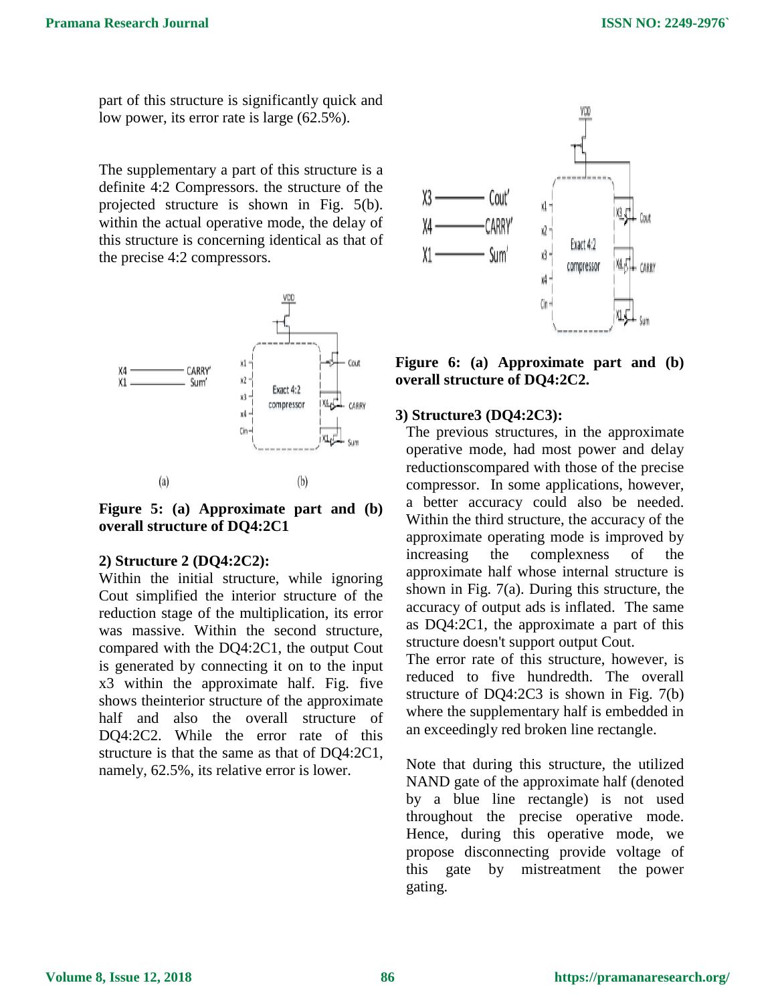part of this structure is significantly quick and low power, its error rate is large (62.5%).

The supplementary a part of this structure is a definite 4:2 Compressors. the structure of the projected structure is shown in Fig. 5(b). within the actual operative mode, the delay of this structure is concerning identical as that of the precise 4:2 compressors.



**Figure 5: (a) Approximate part and (b) overall structure of DQ4:2C1**

#### **2) Structure 2 (DQ4:2C2):**

Within the initial structure, while ignoring Cout simplified the interior structure of the reduction stage of the multiplication, its error was massive. Within the second structure, compared with the DQ4:2C1, the output Cout is generated by connecting it on to the input x3 within the approximate half. Fig. five shows theinterior structure of the approximate half and also the overall structure of DQ4:2C2. While the error rate of this structure is that the same as that of DQ4:2C1, namely, 62.5%, its relative error is lower.



**Figure 6: (a) Approximate part and (b) overall structure of DQ4:2C2.**

## **3) Structure3 (DQ4:2C3):**

The previous structures, in the approximate operative mode, had most power and delay reductionscompared with those of the precise compressor. In some applications, however, a better accuracy could also be needed. Within the third structure, the accuracy of the approximate operating mode is improved by increasing the complexness of the approximate half whose internal structure is shown in Fig. 7(a). During this structure, the accuracy of output ads is inflated. The same as DQ4:2C1, the approximate a part of this structure doesn't support output Cout.

The error rate of this structure, however, is reduced to five hundredth. The overall structure of DQ4:2C3 is shown in Fig. 7(b) where the supplementary half is embedded in an exceedingly red broken line rectangle.

Note that during this structure, the utilized NAND gate of the approximate half (denoted by a blue line rectangle) is not used throughout the precise operative mode. Hence, during this operative mode, we propose disconnecting provide voltage of this gate by mistreatment the power gating.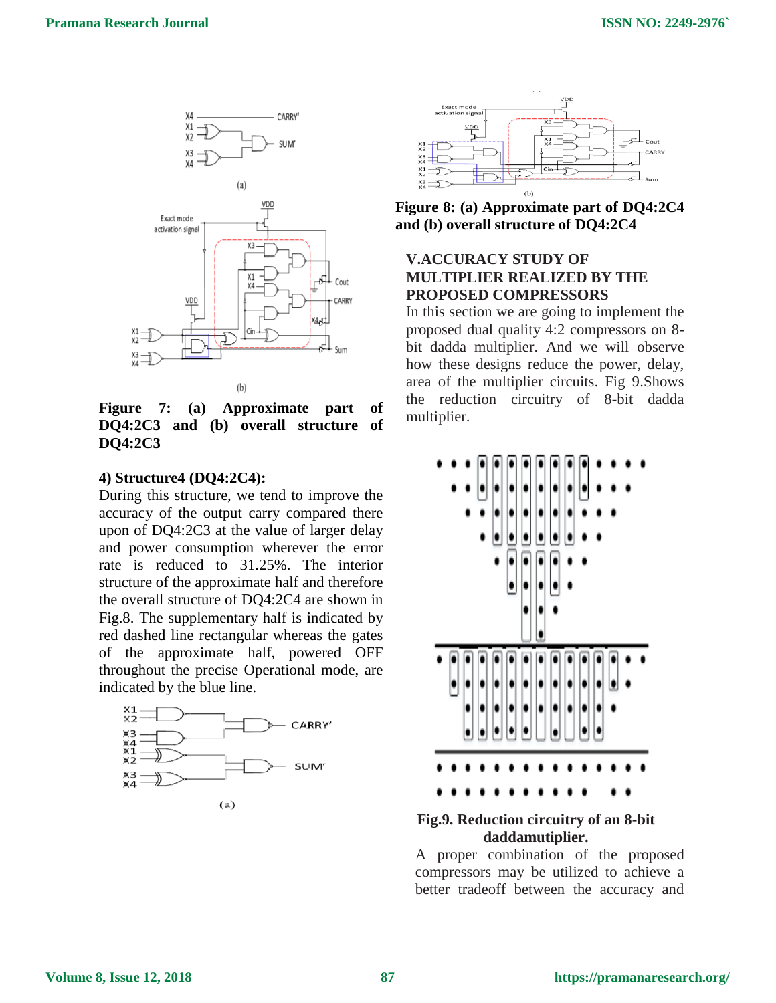

**Figure 7: (a) Approximate part of DQ4:2C3 and (b) overall structure of DQ4:2C3**

#### **4) Structure4 (DQ4:2C4):**

During this structure, we tend to improve the accuracy of the output carry compared there upon of DQ4:2C3 at the value of larger delay and power consumption wherever the error rate is reduced to 31.25%. The interior structure of the approximate half and therefore the overall structure of DQ4:2C4 are shown in Fig.8. The supplementary half is indicated by red dashed line rectangular whereas the gates of the approximate half, powered OFF throughout the precise Operational mode, are indicated by the blue line.





**Figure 8: (a) Approximate part of DQ4:2C4 and (b) overall structure of DQ4:2C4**

# **V.ACCURACY STUDY OF MULTIPLIER REALIZED BY THE PROPOSED COMPRESSORS**

In this section we are going to implement the proposed dual quality 4:2 compressors on 8 bit dadda multiplier. And we will observe how these designs reduce the power, delay, area of the multiplier circuits. Fig 9.Shows the reduction circuitry of 8-bit dadda multiplier.



# **Fig.9. Reduction circuitry of an 8-bit daddamutiplier.**

A proper combination of the proposed compressors may be utilized to achieve a better tradeoff between the accuracy and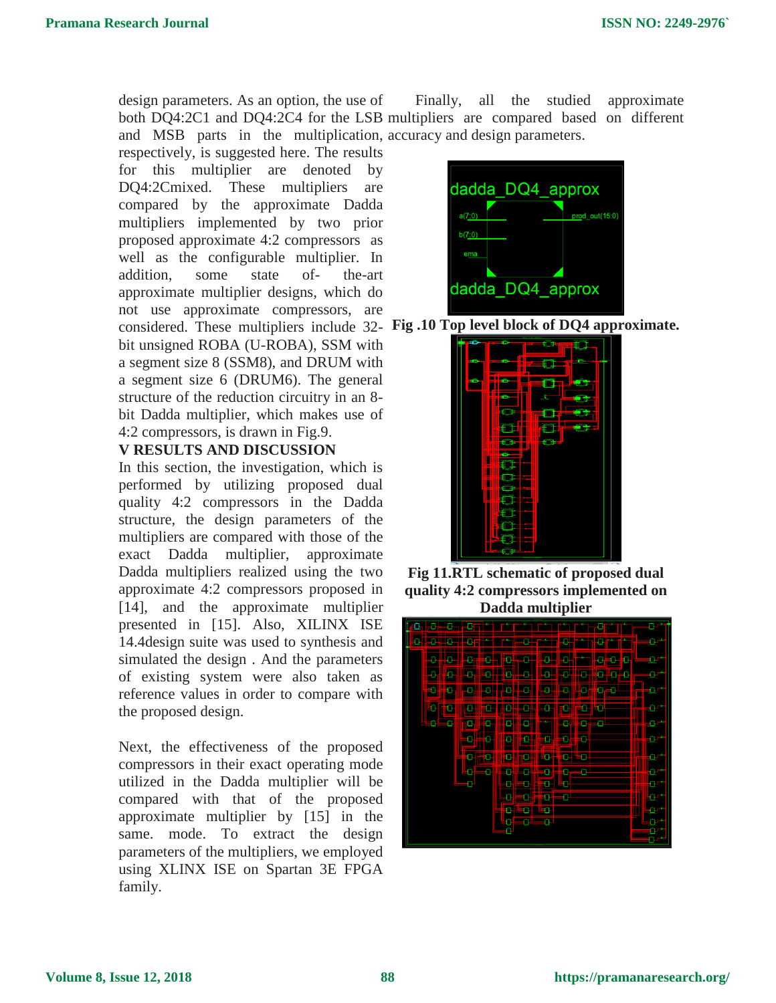design parameters. As an option, the use of both DQ4:2C1 and DQ4:2C4 for the LSB multipliers are compared based on different and MSB parts in the multiplication, accuracy and design parameters. Finally, all the studied approximate

respectively, is suggested here. The results for this multiplier are denoted by DQ4:2Cmixed. These multipliers are compared by the approximate Dadda multipliers implemented by two prior proposed approximate 4:2 compressors as well as the configurable multiplier. In addition, some state of- the-art approximate multiplier designs, which do not use approximate compressors, are considered. These multipliers include 32- **Fig .10 Top level block of DQ4 approximate.** bit unsigned ROBA (U-ROBA), SSM with a segment size 8 (SSM8), and DRUM with a segment size 6 (DRUM6). The general structure of the reduction circuitry in an 8 bit Dadda multiplier, which makes use of 4:2 compressors, is drawn in Fig.9.

## **V RESULTS AND DISCUSSION**

In this section, the investigation, which is performed by utilizing proposed dual quality 4:2 compressors in the Dadda structure, the design parameters of the multipliers are compared with those of the exact Dadda multiplier, approximate Dadda multipliers realized using the two approximate 4:2 compressors proposed in [14], and the approximate multiplier presented in [15]. Also, XILINX ISE 14.4design suite was used to synthesis and simulated the design . And the parameters of existing system were also taken as reference values in order to compare with the proposed design.

Next, the effectiveness of the proposed compressors in their exact operating mode utilized in the Dadda multiplier will be compared with that of the proposed approximate multiplier by [15] in the same. mode. To extract the design parameters of the multipliers, we employed using XLINX ISE on Spartan 3E FPGA family.





**Fig 11.RTL schematic of proposed dual quality 4:2 compressors implemented on Dadda multiplier**

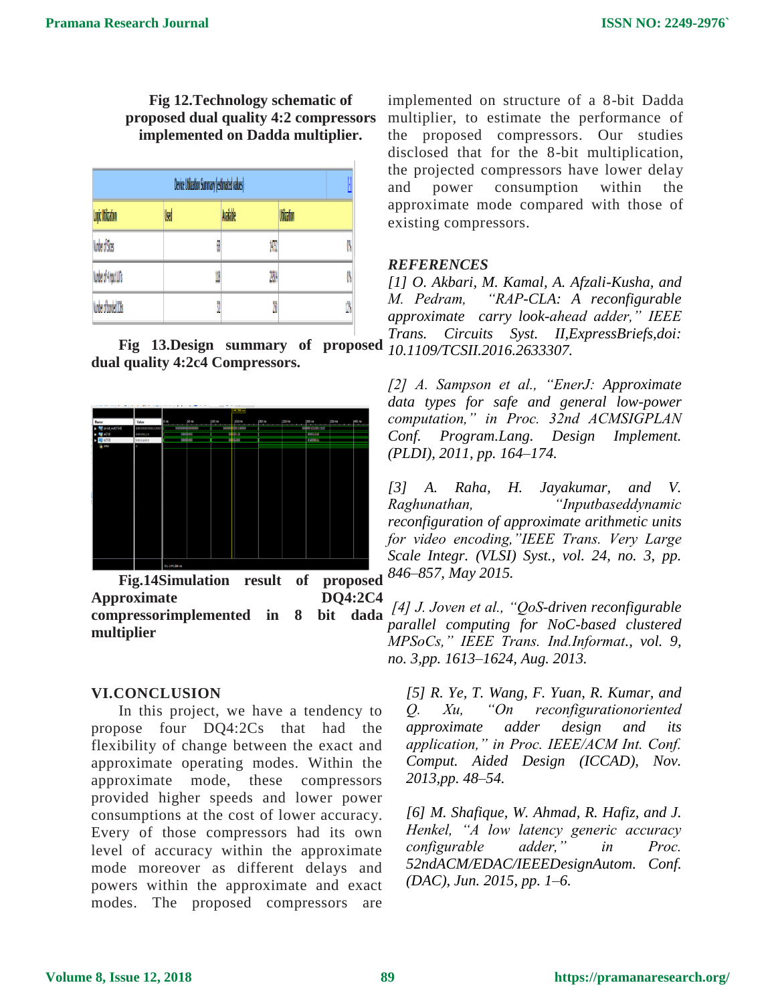**Fig 12.Technology schematic of proposed dual quality 4:2 compressors implemented on Dadda multiplier.**

| Device Utilization Summary (estimated values) |     |           |             |    |
|-----------------------------------------------|-----|-----------|-------------|----|
| Logic Utilization                             | Uxd | Available | Utilization |    |
| Number of Sices                               | Ø   | 147)      |             | ß  |
| Norber of 4 rout LUTs                         | U   | 299       |             | Ñ  |
| Number of horded 10Bs                         | 0   | Ö.        |             | Ø, |

**Fig 13.Design summary of proposed**  $\frac{1}{10}$  *Trans.* **dual quality 4:2c4 Compressors.**



**Fig.14Simulation result of proposed Approximate DQ4:2C4 compressorimplemented in 8 bit dada multiplier**

#### **VI.CONCLUSION**

In this project, we have a tendency to propose four DQ4:2Cs that had the flexibility of change between the exact and approximate operating modes. Within the approximate mode, these compressors provided higher speeds and lower power consumptions at the cost of lower accuracy. Every of those compressors had its own level of accuracy within the approximate mode moreover as different delays and powers within the approximate and exact modes. The proposed compressors are

implemented on structure of a 8-bit Dadda multiplier, to estimate the performance of the proposed compressors. Our studies disclosed that for the 8-bit multiplication, the projected compressors have lower delay and power consumption within the approximate mode compared with those of existing compressors.

#### *REFERENCES*

*[1] O. Akbari, M. Kamal, A. Afzali-Kusha, and M. Pedram, "RAP-CLA: A reconfigurable approximate carry look-ahead adder," IEEE Trans. Circuits Syst. II,ExpressBriefs,doi: 10.1109/TCSII.2016.2633307.* 

*[2] A. Sampson et al., "EnerJ: Approximate data types for safe and general low-power computation," in Proc. 32nd ACMSIGPLAN Conf. Program.Lang. Design Implement. (PLDI), 2011, pp. 164–174.* 

*[3] A. Raha, H. Jayakumar, and V. Raghunathan, "Inputbaseddynamic reconfiguration of approximate arithmetic units for video encoding,"IEEE Trans. Very Large Scale Integr. (VLSI) Syst., vol. 24, no. 3, pp. 846–857, May 2015.*

*[4] J. Joven et al., "QoS-driven reconfigurable parallel computing for NoC-based clustered MPSoCs," IEEE Trans. Ind.Informat., vol. 9, no. 3,pp. 1613–1624, Aug. 2013.* 

*[5] R. Ye, T. Wang, F. Yuan, R. Kumar, and Q. Xu, "On reconfigurationoriented approximate adder design and its application," in Proc. IEEE/ACM Int. Conf. Comput. Aided Design (ICCAD), Nov. 2013,pp. 48–54.* 

*[6] M. Shafique, W. Ahmad, R. Hafiz, and J. Henkel, "A low latency generic accuracy configurable adder," in Proc. 52ndACM/EDAC/IEEEDesignAutom. Conf. (DAC), Jun. 2015, pp. 1–6.*